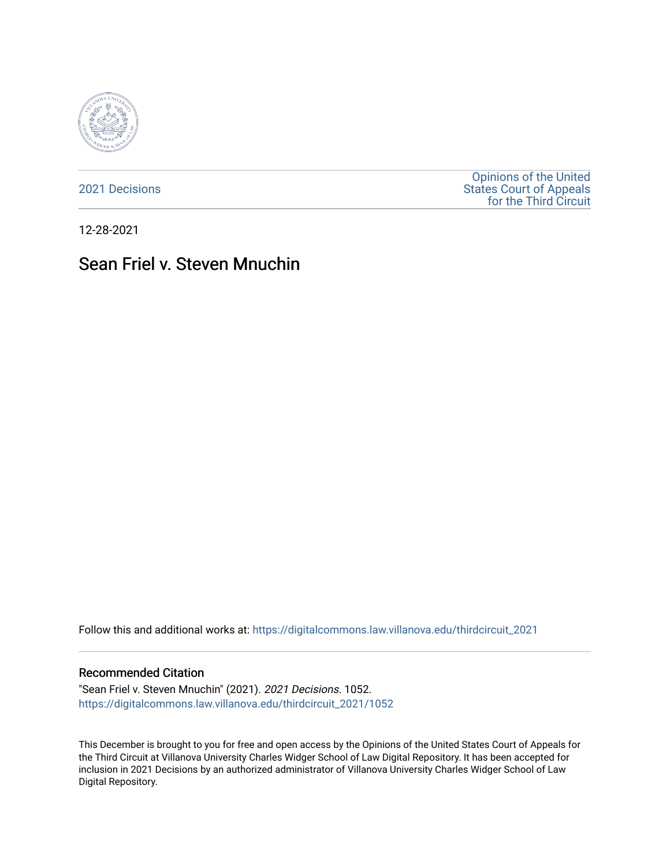

[2021 Decisions](https://digitalcommons.law.villanova.edu/thirdcircuit_2021)

[Opinions of the United](https://digitalcommons.law.villanova.edu/thirdcircuit)  [States Court of Appeals](https://digitalcommons.law.villanova.edu/thirdcircuit)  [for the Third Circuit](https://digitalcommons.law.villanova.edu/thirdcircuit) 

12-28-2021

# Sean Friel v. Steven Mnuchin

Follow this and additional works at: [https://digitalcommons.law.villanova.edu/thirdcircuit\\_2021](https://digitalcommons.law.villanova.edu/thirdcircuit_2021?utm_source=digitalcommons.law.villanova.edu%2Fthirdcircuit_2021%2F1052&utm_medium=PDF&utm_campaign=PDFCoverPages) 

#### Recommended Citation

"Sean Friel v. Steven Mnuchin" (2021). 2021 Decisions. 1052. [https://digitalcommons.law.villanova.edu/thirdcircuit\\_2021/1052](https://digitalcommons.law.villanova.edu/thirdcircuit_2021/1052?utm_source=digitalcommons.law.villanova.edu%2Fthirdcircuit_2021%2F1052&utm_medium=PDF&utm_campaign=PDFCoverPages) 

This December is brought to you for free and open access by the Opinions of the United States Court of Appeals for the Third Circuit at Villanova University Charles Widger School of Law Digital Repository. It has been accepted for inclusion in 2021 Decisions by an authorized administrator of Villanova University Charles Widger School of Law Digital Repository.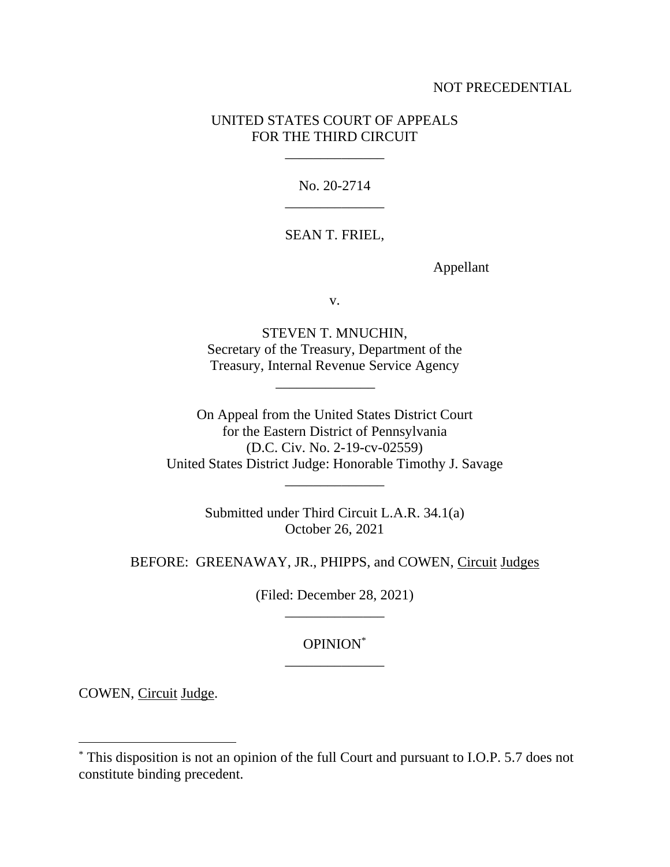### NOT PRECEDENTIAL

## UNITED STATES COURT OF APPEALS FOR THE THIRD CIRCUIT

\_\_\_\_\_\_\_\_\_\_\_\_\_\_

No. 20-2714 \_\_\_\_\_\_\_\_\_\_\_\_\_\_

### SEAN T. FRIEL,

Appellant

v.

STEVEN T. MNUCHIN, Secretary of the Treasury, Department of the Treasury, Internal Revenue Service Agency

\_\_\_\_\_\_\_\_\_\_\_\_\_\_

On Appeal from the United States District Court for the Eastern District of Pennsylvania (D.C. Civ. No. 2-19-cv-02559) United States District Judge: Honorable Timothy J. Savage \_\_\_\_\_\_\_\_\_\_\_\_\_\_

> Submitted under Third Circuit L.A.R. 34.1(a) October 26, 2021

BEFORE: GREENAWAY, JR., PHIPPS, and COWEN, Circuit Judges

(Filed: December 28, 2021) \_\_\_\_\_\_\_\_\_\_\_\_\_\_

## OPINION\* \_\_\_\_\_\_\_\_\_\_\_\_\_\_

COWEN, Circuit Judge.

<sup>\*</sup> This disposition is not an opinion of the full Court and pursuant to I.O.P. 5.7 does not constitute binding precedent.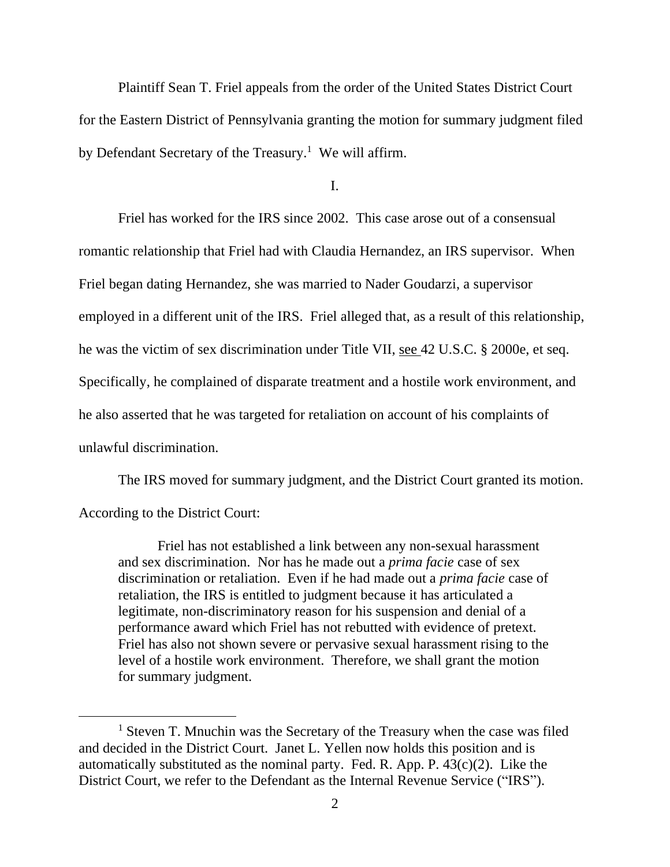Plaintiff Sean T. Friel appeals from the order of the United States District Court for the Eastern District of Pennsylvania granting the motion for summary judgment filed by Defendant Secretary of the Treasury.<sup>1</sup> We will affirm.

I.

Friel has worked for the IRS since 2002. This case arose out of a consensual romantic relationship that Friel had with Claudia Hernandez, an IRS supervisor. When Friel began dating Hernandez, she was married to Nader Goudarzi, a supervisor employed in a different unit of the IRS. Friel alleged that, as a result of this relationship, he was the victim of sex discrimination under Title VII, see 42 U.S.C. § 2000e, et seq. Specifically, he complained of disparate treatment and a hostile work environment, and he also asserted that he was targeted for retaliation on account of his complaints of unlawful discrimination.

The IRS moved for summary judgment, and the District Court granted its motion. According to the District Court:

Friel has not established a link between any non-sexual harassment and sex discrimination. Nor has he made out a *prima facie* case of sex discrimination or retaliation. Even if he had made out a *prima facie* case of retaliation, the IRS is entitled to judgment because it has articulated a legitimate, non-discriminatory reason for his suspension and denial of a performance award which Friel has not rebutted with evidence of pretext. Friel has also not shown severe or pervasive sexual harassment rising to the level of a hostile work environment. Therefore, we shall grant the motion for summary judgment.

<sup>&</sup>lt;sup>1</sup> Steven T. Mnuchin was the Secretary of the Treasury when the case was filed and decided in the District Court. Janet L. Yellen now holds this position and is automatically substituted as the nominal party. Fed. R. App. P.  $43(c)(2)$ . Like the District Court, we refer to the Defendant as the Internal Revenue Service ("IRS").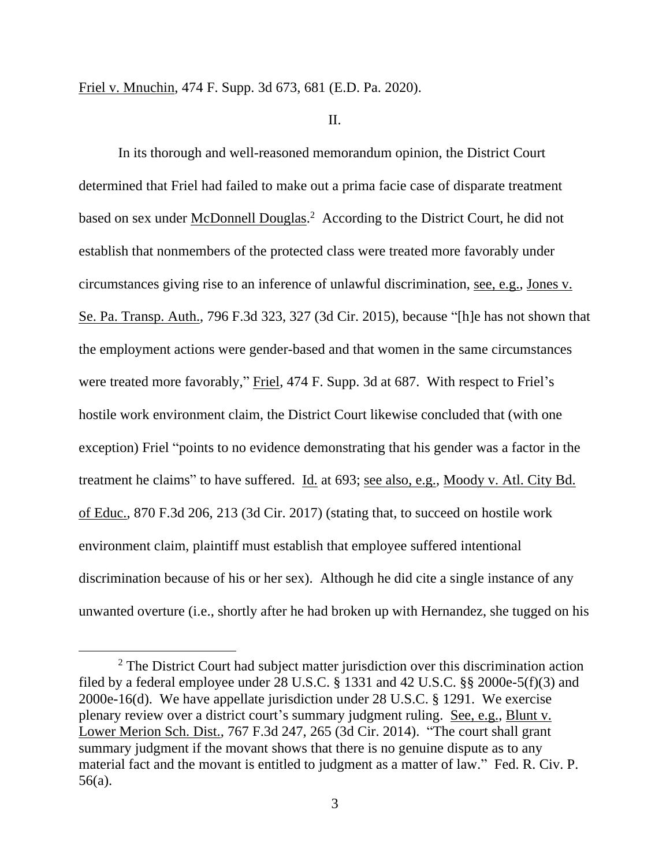Friel v. Mnuchin, 474 F. Supp. 3d 673, 681 (E.D. Pa. 2020).

II.

In its thorough and well-reasoned memorandum opinion, the District Court determined that Friel had failed to make out a prima facie case of disparate treatment based on sex under McDonnell Douglas.<sup>2</sup> According to the District Court, he did not establish that nonmembers of the protected class were treated more favorably under circumstances giving rise to an inference of unlawful discrimination, see, e.g., Jones v. Se. Pa. Transp. Auth., 796 F.3d 323, 327 (3d Cir. 2015), because "[h]e has not shown that the employment actions were gender-based and that women in the same circumstances were treated more favorably," Friel, 474 F. Supp. 3d at 687. With respect to Friel's hostile work environment claim, the District Court likewise concluded that (with one exception) Friel "points to no evidence demonstrating that his gender was a factor in the treatment he claims" to have suffered. Id. at 693; see also, e.g., Moody v. Atl. City Bd. of Educ., 870 F.3d 206, 213 (3d Cir. 2017) (stating that, to succeed on hostile work environment claim, plaintiff must establish that employee suffered intentional discrimination because of his or her sex). Although he did cite a single instance of any unwanted overture (i.e., shortly after he had broken up with Hernandez, she tugged on his

<sup>&</sup>lt;sup>2</sup> The District Court had subject matter jurisdiction over this discrimination action filed by a federal employee under 28 U.S.C. § 1331 and 42 U.S.C. §§ 2000e-5(f)(3) and 2000e-16(d). We have appellate jurisdiction under 28 U.S.C. § 1291. We exercise plenary review over a district court's summary judgment ruling. See, e.g., Blunt v. Lower Merion Sch. Dist., 767 F.3d 247, 265 (3d Cir. 2014). "The court shall grant summary judgment if the movant shows that there is no genuine dispute as to any material fact and the movant is entitled to judgment as a matter of law." Fed. R. Civ. P. 56(a).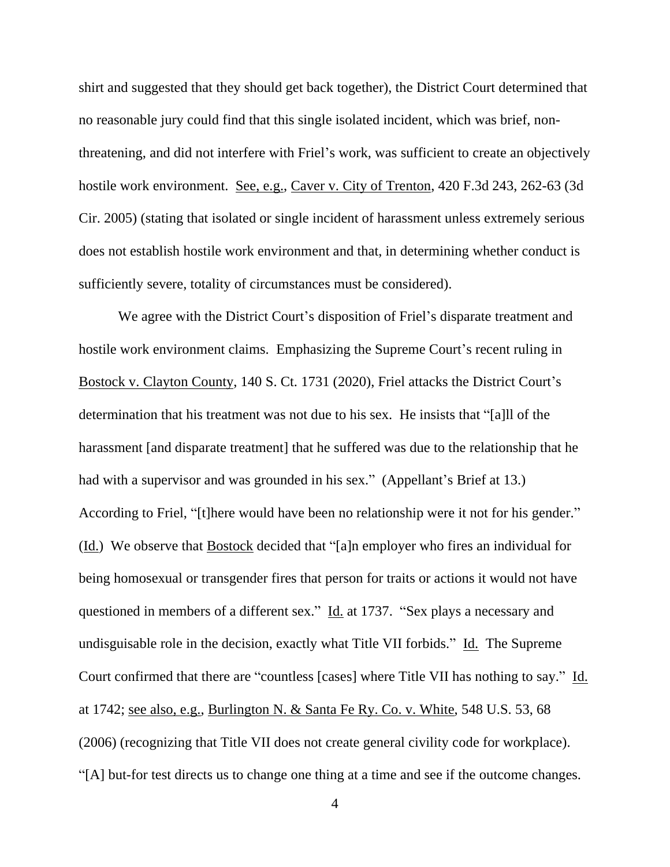shirt and suggested that they should get back together), the District Court determined that no reasonable jury could find that this single isolated incident, which was brief, nonthreatening, and did not interfere with Friel's work, was sufficient to create an objectively hostile work environment. See, e.g., Caver v. City of Trenton, 420 F.3d 243, 262-63 (3d Cir. 2005) (stating that isolated or single incident of harassment unless extremely serious does not establish hostile work environment and that, in determining whether conduct is sufficiently severe, totality of circumstances must be considered).

We agree with the District Court's disposition of Friel's disparate treatment and hostile work environment claims. Emphasizing the Supreme Court's recent ruling in Bostock v. Clayton County, 140 S. Ct. 1731 (2020), Friel attacks the District Court's determination that his treatment was not due to his sex. He insists that "[a]ll of the harassment [and disparate treatment] that he suffered was due to the relationship that he had with a supervisor and was grounded in his sex." (Appellant's Brief at 13.) According to Friel, "[t]here would have been no relationship were it not for his gender." (Id.) We observe that Bostock decided that "[a]n employer who fires an individual for being homosexual or transgender fires that person for traits or actions it would not have questioned in members of a different sex." Id. at 1737. "Sex plays a necessary and undisguisable role in the decision, exactly what Title VII forbids." Id. The Supreme Court confirmed that there are "countless [cases] where Title VII has nothing to say." Id. at 1742; see also, e.g., Burlington N. & Santa Fe Ry. Co. v. White, 548 U.S. 53, 68 (2006) (recognizing that Title VII does not create general civility code for workplace). "[A] but-for test directs us to change one thing at a time and see if the outcome changes.

4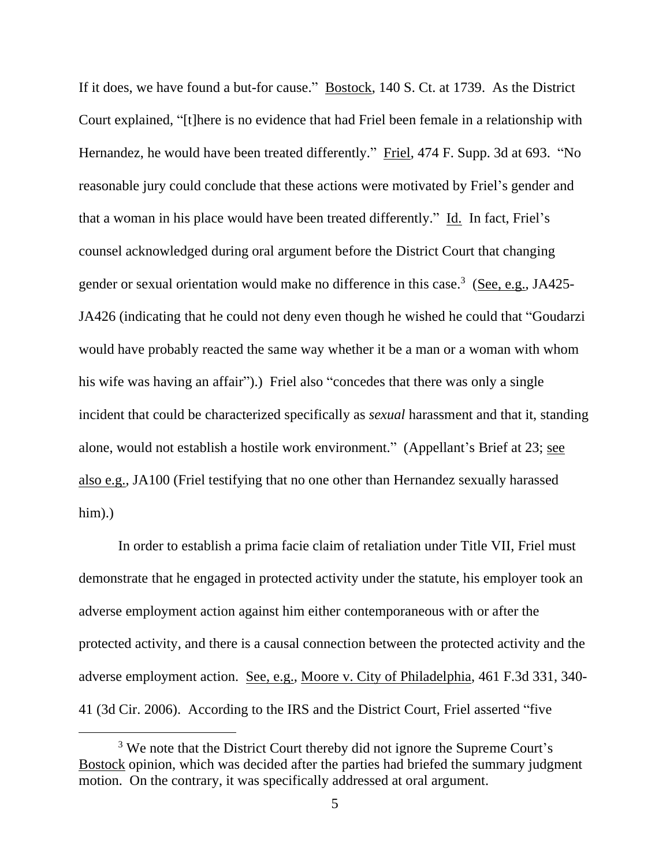If it does, we have found a but-for cause." Bostock, 140 S. Ct. at 1739. As the District Court explained, "[t]here is no evidence that had Friel been female in a relationship with Hernandez, he would have been treated differently." Friel, 474 F. Supp. 3d at 693. "No reasonable jury could conclude that these actions were motivated by Friel's gender and that a woman in his place would have been treated differently." Id. In fact, Friel's counsel acknowledged during oral argument before the District Court that changing gender or sexual orientation would make no difference in this case.<sup>3</sup> (See, e.g., JA425-JA426 (indicating that he could not deny even though he wished he could that "Goudarzi would have probably reacted the same way whether it be a man or a woman with whom his wife was having an affair").) Friel also "concedes that there was only a single incident that could be characterized specifically as *sexual* harassment and that it, standing alone, would not establish a hostile work environment." (Appellant's Brief at 23; see also e.g., JA100 (Friel testifying that no one other than Hernandez sexually harassed him).

In order to establish a prima facie claim of retaliation under Title VII, Friel must demonstrate that he engaged in protected activity under the statute, his employer took an adverse employment action against him either contemporaneous with or after the protected activity, and there is a causal connection between the protected activity and the adverse employment action. See, e.g., Moore v. City of Philadelphia, 461 F.3d 331, 340- 41 (3d Cir. 2006). According to the IRS and the District Court, Friel asserted "five

<sup>&</sup>lt;sup>3</sup> We note that the District Court thereby did not ignore the Supreme Court's Bostock opinion, which was decided after the parties had briefed the summary judgment motion. On the contrary, it was specifically addressed at oral argument.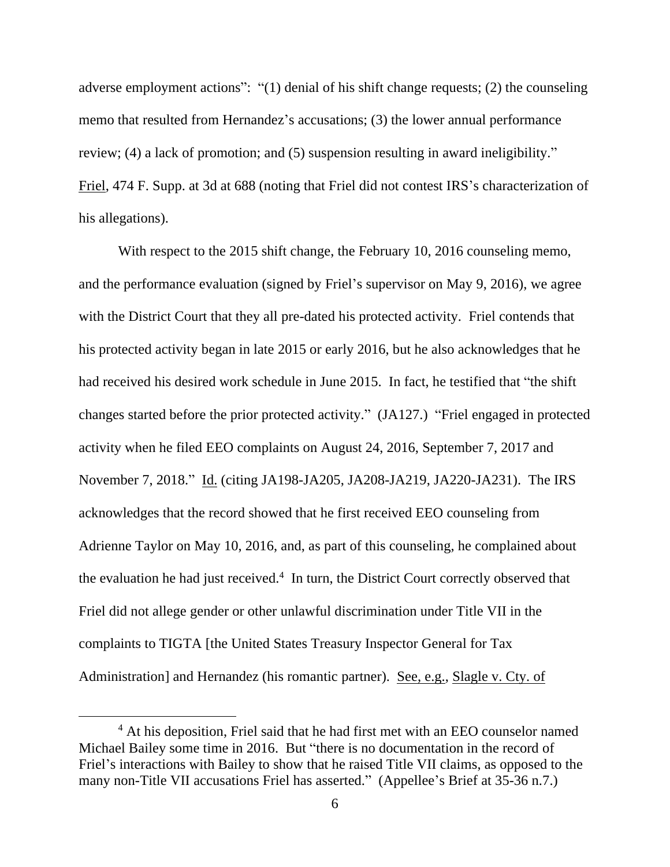adverse employment actions": "(1) denial of his shift change requests; (2) the counseling memo that resulted from Hernandez's accusations; (3) the lower annual performance review; (4) a lack of promotion; and (5) suspension resulting in award ineligibility." Friel, 474 F. Supp. at 3d at 688 (noting that Friel did not contest IRS's characterization of his allegations).

With respect to the 2015 shift change, the February 10, 2016 counseling memo, and the performance evaluation (signed by Friel's supervisor on May 9, 2016), we agree with the District Court that they all pre-dated his protected activity. Friel contends that his protected activity began in late 2015 or early 2016, but he also acknowledges that he had received his desired work schedule in June 2015. In fact, he testified that "the shift changes started before the prior protected activity." (JA127.) "Friel engaged in protected activity when he filed EEO complaints on August 24, 2016, September 7, 2017 and November 7, 2018." Id. (citing JA198-JA205, JA208-JA219, JA220-JA231). The IRS acknowledges that the record showed that he first received EEO counseling from Adrienne Taylor on May 10, 2016, and, as part of this counseling, he complained about the evaluation he had just received. 4 In turn, the District Court correctly observed that Friel did not allege gender or other unlawful discrimination under Title VII in the complaints to TIGTA [the United States Treasury Inspector General for Tax Administration] and Hernandez (his romantic partner). See, e.g., Slagle v. Cty. of

<sup>&</sup>lt;sup>4</sup> At his deposition, Friel said that he had first met with an EEO counselor named Michael Bailey some time in 2016. But "there is no documentation in the record of Friel's interactions with Bailey to show that he raised Title VII claims, as opposed to the many non-Title VII accusations Friel has asserted." (Appellee's Brief at 35-36 n.7.)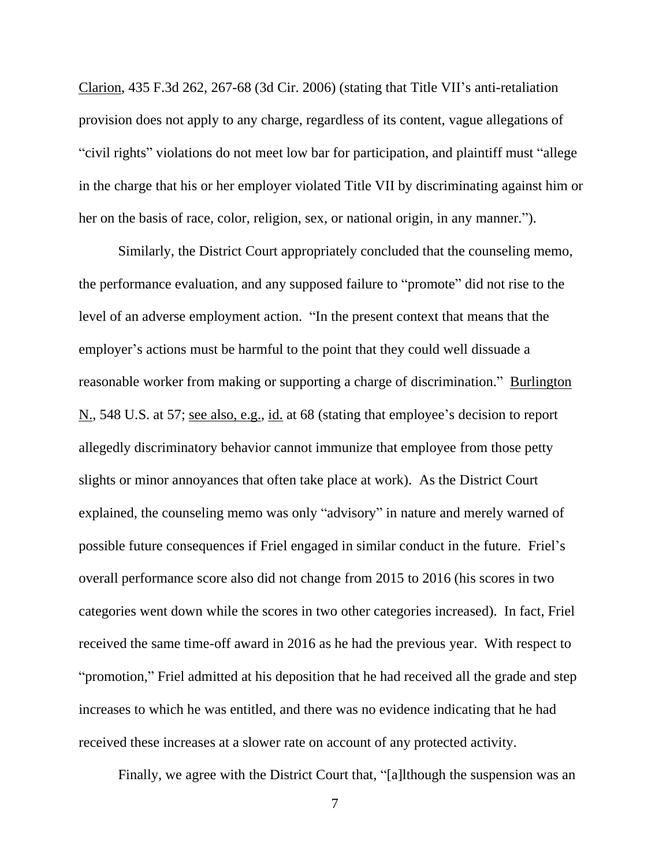Clarion, 435 F.3d 262, 267-68 (3d Cir. 2006) (stating that Title VII's anti-retaliation provision does not apply to any charge, regardless of its content, vague allegations of "civil rights" violations do not meet low bar for participation, and plaintiff must "allege in the charge that his or her employer violated Title VII by discriminating against him or her on the basis of race, color, religion, sex, or national origin, in any manner.").

Similarly, the District Court appropriately concluded that the counseling memo, the performance evaluation, and any supposed failure to "promote" did not rise to the level of an adverse employment action. "In the present context that means that the employer's actions must be harmful to the point that they could well dissuade a reasonable worker from making or supporting a charge of discrimination." Burlington N., 548 U.S. at 57; <u>see also, e.g., id.</u> at 68 (stating that employee's decision to report allegedly discriminatory behavior cannot immunize that employee from those petty slights or minor annoyances that often take place at work). As the District Court explained, the counseling memo was only "advisory" in nature and merely warned of possible future consequences if Friel engaged in similar conduct in the future. Friel's overall performance score also did not change from 2015 to 2016 (his scores in two categories went down while the scores in two other categories increased). In fact, Friel received the same time-off award in 2016 as he had the previous year. With respect to "promotion," Friel admitted at his deposition that he had received all the grade and step increases to which he was entitled, and there was no evidence indicating that he had received these increases at a slower rate on account of any protected activity.

Finally, we agree with the District Court that, "[a]lthough the suspension was an

7